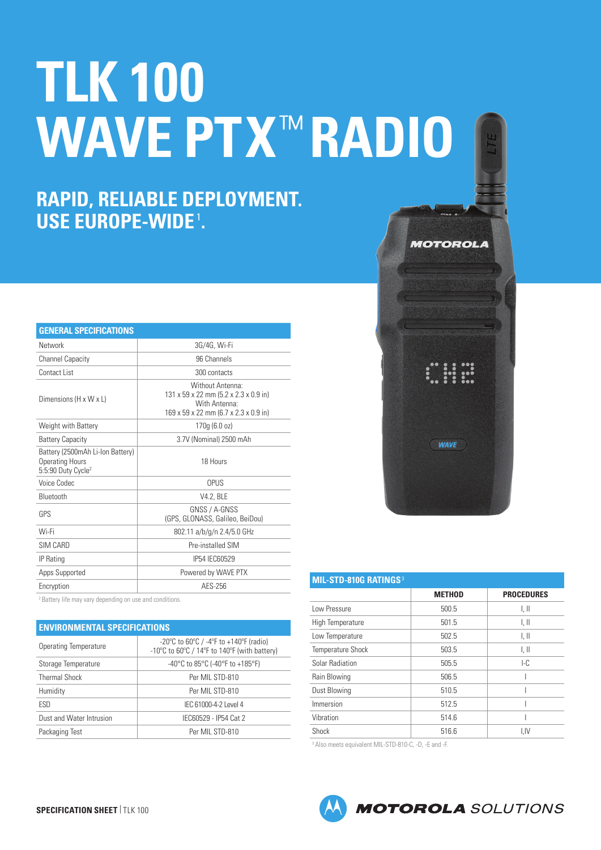# **TLK 100 WAVE PTX**™ **RADIO**

## **RAPID, RELIABLE DEPLOYMENT. USE EUROPE-WIDE**<sup>1</sup> **.**

| <b>GENERAL SPECIFICATIONS</b>                                                                |                                                                                                                     |  |
|----------------------------------------------------------------------------------------------|---------------------------------------------------------------------------------------------------------------------|--|
| Network                                                                                      | 3G/4G, Wi-Fi                                                                                                        |  |
| <b>Channel Capacity</b>                                                                      | 96 Channels                                                                                                         |  |
| Contact List                                                                                 | 300 contacts                                                                                                        |  |
| Dimensions (H x W x L)                                                                       | Without Antenna:<br>131 x 59 x 22 mm (5.2 x 2.3 x 0.9 in)<br>With Antenna:<br>169 x 59 x 22 mm (6.7 x 2.3 x 0.9 in) |  |
| Weight with Battery                                                                          | 170q(6.0 oz)                                                                                                        |  |
| <b>Battery Capacity</b>                                                                      | 3.7V (Nominal) 2500 mAh                                                                                             |  |
| Battery (2500mAh Li-Ion Battery)<br><b>Operating Hours</b><br>5:5:90 Duty Cycle <sup>2</sup> | 18 Hours                                                                                                            |  |
| Voice Codec                                                                                  | OPUS                                                                                                                |  |
| Bluetooth                                                                                    | V4.2, BLE                                                                                                           |  |
| <b>GPS</b>                                                                                   | GNSS / A-GNSS<br>(GPS, GLONASS, Galileo, BeiDou)                                                                    |  |
| Wi-Fi                                                                                        | 802.11 a/b/g/n 2.4/5.0 GHz                                                                                          |  |
| SIM CARD                                                                                     | Pre-installed SIM                                                                                                   |  |
| IP Rating                                                                                    | IP54 IEC60529                                                                                                       |  |
| Apps Supported                                                                               | Powered by WAVE PTX                                                                                                 |  |
| Encryption                                                                                   | AES-256                                                                                                             |  |

<sup>2</sup> Battery life may vary depending on use and conditions

#### **ENVIRONMENTAL SPECIFICATIONS**

| <b>Operating Temperature</b> | $-20^{\circ}$ C to 60 $^{\circ}$ C / $-4^{\circ}$ F to $+140^{\circ}$ F (radio)<br>-10 $\degree$ C to 60 $\degree$ C / 14 $\degree$ F to 140 $\degree$ F (with battery) |
|------------------------------|-------------------------------------------------------------------------------------------------------------------------------------------------------------------------|
| Storage Temperature          | -40°C to 85°C (-40°F to +185°F)                                                                                                                                         |
| <b>Thermal Shock</b>         | Per MIL STD-810                                                                                                                                                         |
| Humidity                     | Per MIL STD-810                                                                                                                                                         |
| ESD                          | IEC 61000-4-2 Level 4                                                                                                                                                   |
| Dust and Water Intrusion     | IEC60529 - IP54 Cat 2                                                                                                                                                   |
| Packaging Test               | Per MIL STD-810                                                                                                                                                         |



| <b>MIL-STD-810G RATINGS<sup>3</sup></b> |               |                   |  |
|-----------------------------------------|---------------|-------------------|--|
|                                         | <b>METHOD</b> | <b>PROCEDURES</b> |  |
| Low Pressure                            | 500.5         | l, II             |  |
| High Temperature                        | 501.5         | l, II             |  |
| Low Temperature                         | 502.5         | l, II             |  |
| <b>Temperature Shock</b>                | 503.5         | l, II             |  |
| Solar Radiation                         | 505.5         | LC                |  |
| Rain Blowing                            | 506.5         |                   |  |
| Dust Blowing                            | 510.5         |                   |  |
| Immersion                               | 512.5         |                   |  |
| Vibration                               | 514.6         |                   |  |
| Shock                                   | 516.6         | I.IV              |  |

<sup>3</sup> Also meets equivalent MIL-STD-810-C, -D, -E and -F.